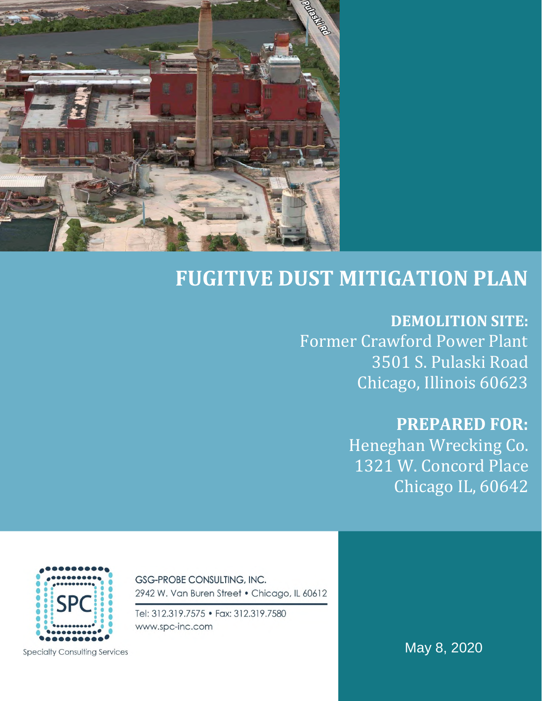

# **FUGITIVE DUST MITIGATION PLAN**

# **DEMOLITION SITE:**

Former Crawford Power Plant 3501 S. Pulaski Road Chicago, Illinois 60623

# **PREPARED FOR:**

Heneghan Wrecking Co. 1321 W. Concord Place Chicago IL, 60642



2942 W. Van Buren Street . Chicago, IL 60612

Tel: 312.319.7575 • Fax: 312.319.7580 www.spc-inc.com

**GSG-PROBE CONSULTING, INC.** 

**Specialty Consulting Services** 

May 8, 2020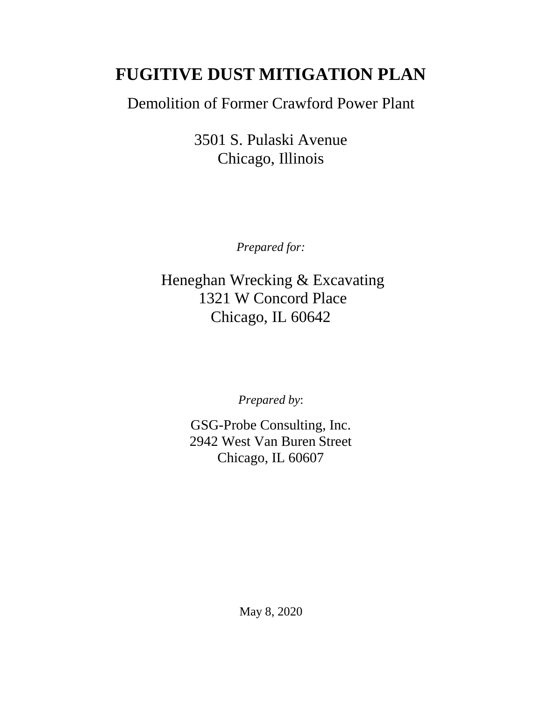# **FUGITIVE DUST MITIGATION PLAN**

Demolition of Former Crawford Power Plant

3501 S. Pulaski Avenue Chicago, Illinois

*Prepared for:* 

Heneghan Wrecking & Excavating 1321 W Concord Place Chicago, IL 60642

*Prepared by*:

GSG-Probe Consulting, Inc. 2942 West Van Buren Street Chicago, IL 60607

May 8, 2020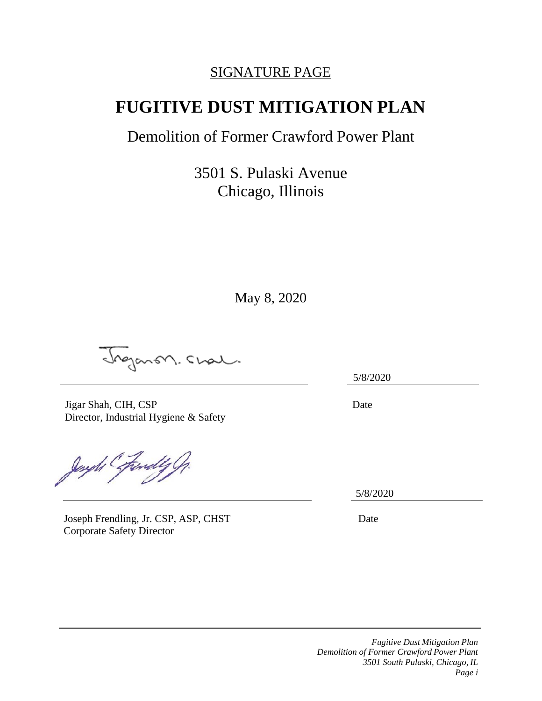# SIGNATURE PAGE

# **FUGITIVE DUST MITIGATION PLAN**

# Demolition of Former Crawford Power Plant

3501 S. Pulaski Avenue Chicago, Illinois

May 8, 2020

Inganon. Chal.

Jigar Shah, CIH, CSP Director, Industrial Hygiene & Safety

Jenyth Executy G

Joseph Frendling, Jr. CSP, ASP, CHST Date Corporate Safety Director

5/8/2020

Date

5/8/2020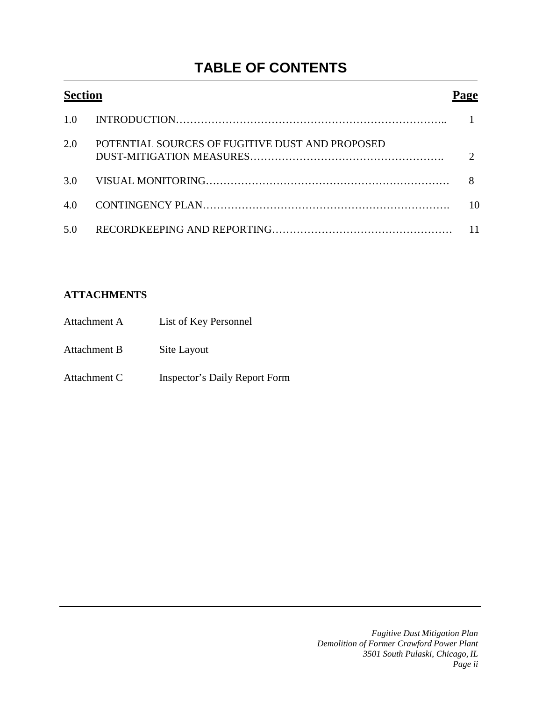# **TABLE OF CONTENTS**

| <b>Section</b> |                                                 |    |
|----------------|-------------------------------------------------|----|
| 1.0            |                                                 |    |
| 2.0            | POTENTIAL SOURCES OF FUGITIVE DUST AND PROPOSED |    |
|                |                                                 |    |
| 4.0            |                                                 | 10 |
| 5.0            |                                                 | 11 |

## **ATTACHMENTS**

| Attachment A | List of Key Personnel         |
|--------------|-------------------------------|
| Attachment B | Site Layout                   |
| Attachment C | Inspector's Daily Report Form |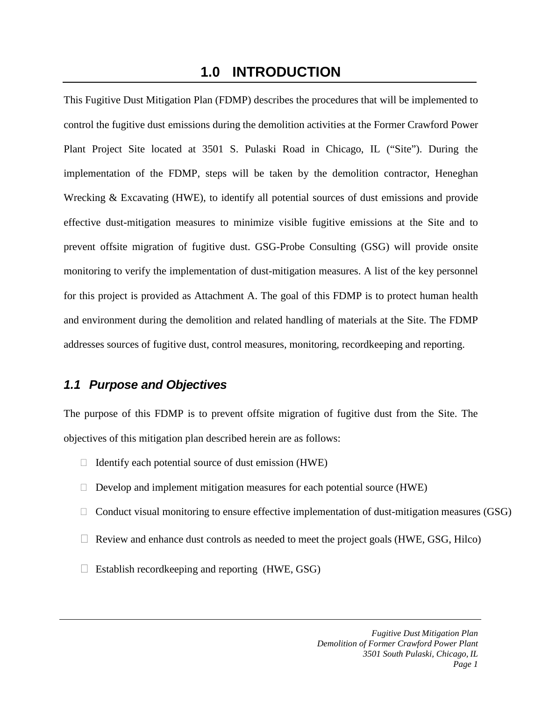## **1.0 INTRODUCTION**

This Fugitive Dust Mitigation Plan (FDMP) describes the procedures that will be implemented to control the fugitive dust emissions during the demolition activities at the Former Crawford Power Plant Project Site located at 3501 S. Pulaski Road in Chicago, IL ("Site"). During the implementation of the FDMP, steps will be taken by the demolition contractor, Heneghan Wrecking & Excavating (HWE), to identify all potential sources of dust emissions and provide effective dust-mitigation measures to minimize visible fugitive emissions at the Site and to prevent offsite migration of fugitive dust. GSG-Probe Consulting (GSG) will provide onsite monitoring to verify the implementation of dust-mitigation measures. A list of the key personnel for this project is provided as Attachment A. The goal of this FDMP is to protect human health and environment during the demolition and related handling of materials at the Site. The FDMP addresses sources of fugitive dust, control measures, monitoring, recordkeeping and reporting.

## *1.1 Purpose and Objectives*

The purpose of this FDMP is to prevent offsite migration of fugitive dust from the Site. The objectives of this mitigation plan described herein are as follows:

- $\Box$  Identify each potential source of dust emission (HWE)
- $\Box$  Develop and implement mitigation measures for each potential source (HWE)
- $\Box$  Conduct visual monitoring to ensure effective implementation of dust-mitigation measures (GSG)
- $\Box$  Review and enhance dust controls as needed to meet the project goals (HWE, GSG, Hilco)
- $\Box$  Establish recordkeeping and reporting (HWE, GSG)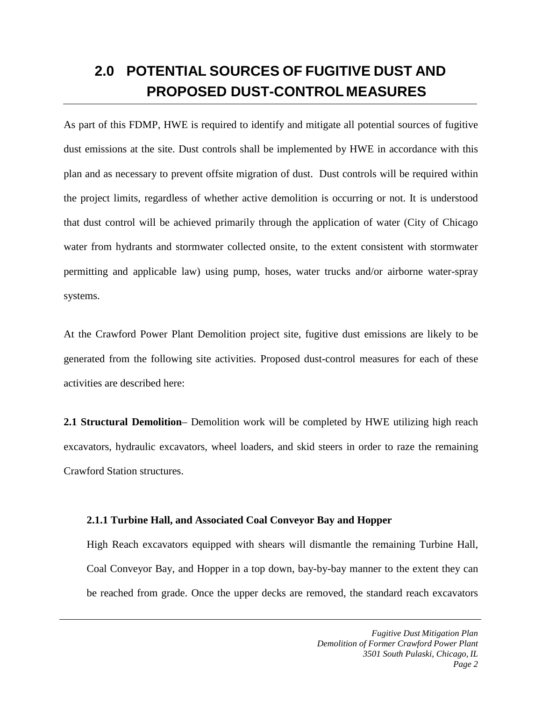# **2.0 POTENTIAL SOURCES OF FUGITIVE DUST AND PROPOSED DUST-CONTROL MEASURES**

As part of this FDMP, HWE is required to identify and mitigate all potential sources of fugitive dust emissions at the site. Dust controls shall be implemented by HWE in accordance with this plan and as necessary to prevent offsite migration of dust. Dust controls will be required within the project limits, regardless of whether active demolition is occurring or not. It is understood that dust control will be achieved primarily through the application of water (City of Chicago water from hydrants and stormwater collected onsite, to the extent consistent with stormwater permitting and applicable law) using pump, hoses, water trucks and/or airborne water-spray systems.

At the Crawford Power Plant Demolition project site, fugitive dust emissions are likely to be generated from the following site activities. Proposed dust-control measures for each of these activities are described here:

**2.1 Structural Demolition**– Demolition work will be completed by HWE utilizing high reach excavators, hydraulic excavators, wheel loaders, and skid steers in order to raze the remaining Crawford Station structures.

#### **2.1.1 Turbine Hall, and Associated Coal Conveyor Bay and Hopper**

High Reach excavators equipped with shears will dismantle the remaining Turbine Hall, Coal Conveyor Bay, and Hopper in a top down, bay-by-bay manner to the extent they can be reached from grade. Once the upper decks are removed, the standard reach excavators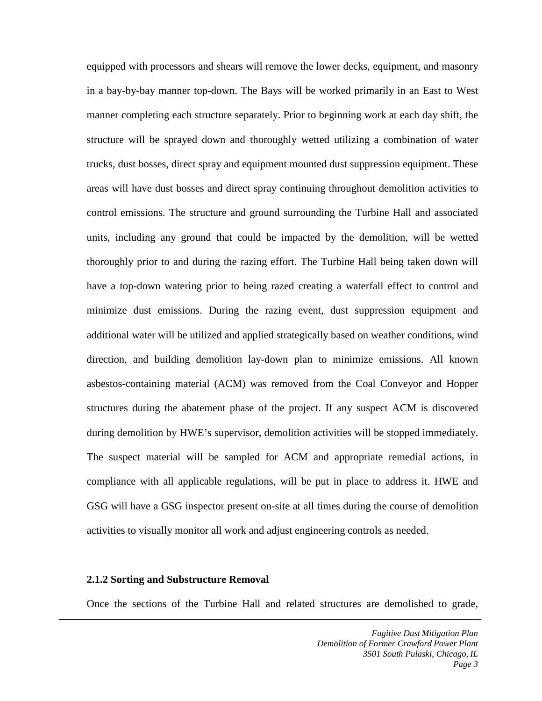equipped with processors and shears will remove the lower decks, equipment, and masonry in a bay-by-bay manner top-down. The Bays will be worked primarily in an East to West manner completing each structure separately. Prior to beginning work at each day shift, the structure will be sprayed down and thoroughly wetted utilizing a combination of water trucks, dust bosses, direct spray and equipment mounted dust suppression equipment. These areas will have dust bosses and direct spray continuing throughout demolition activities to control emissions. The structure and ground surrounding the Turbine Hall and associated units, including any ground that could be impacted by the demolition, will be wetted thoroughly prior to and during the razing effort. The Turbine Hall being taken down will have a top-down watering prior to being razed creating a waterfall effect to control and minimize dust emissions. During the razing event, dust suppression equipment and additional water will be utilized and applied strategically based on weather conditions, wind direction, and building demolition lay-down plan to minimize emissions. All known asbestos-containing material (ACM) was removed from the Coal Conveyor and Hopper structures during the abatement phase of the project. If any suspect ACM is discovered during demolition by HWE's supervisor, demolition activities will be stopped immediately. The suspect material will be sampled for ACM and appropriate remedial actions, in compliance with all applicable regulations, will be put in place to address it. HWE and GSG will have a GSG inspector present on-site at all times during the course of demolition activities to visually monitor all work and adjust engineering controls as needed.

#### **2.1.2 Sorting and Substructure Removal**

Once the sections of the Turbine Hall and related structures are demolished to grade,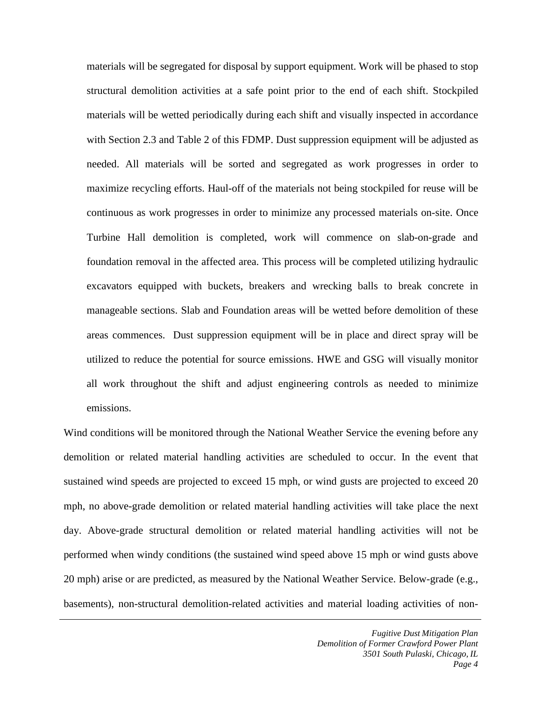materials will be segregated for disposal by support equipment. Work will be phased to stop structural demolition activities at a safe point prior to the end of each shift. Stockpiled materials will be wetted periodically during each shift and visually inspected in accordance with Section 2.3 and Table 2 of this FDMP. Dust suppression equipment will be adjusted as needed. All materials will be sorted and segregated as work progresses in order to maximize recycling efforts. Haul-off of the materials not being stockpiled for reuse will be continuous as work progresses in order to minimize any processed materials on-site. Once Turbine Hall demolition is completed, work will commence on slab-on-grade and foundation removal in the affected area. This process will be completed utilizing hydraulic excavators equipped with buckets, breakers and wrecking balls to break concrete in manageable sections. Slab and Foundation areas will be wetted before demolition of these areas commences. Dust suppression equipment will be in place and direct spray will be utilized to reduce the potential for source emissions. HWE and GSG will visually monitor all work throughout the shift and adjust engineering controls as needed to minimize emissions.

Wind conditions will be monitored through the National Weather Service the evening before any demolition or related material handling activities are scheduled to occur. In the event that sustained wind speeds are projected to exceed 15 mph, or wind gusts are projected to exceed 20 mph, no above-grade demolition or related material handling activities will take place the next day. Above-grade structural demolition or related material handling activities will not be performed when windy conditions (the sustained wind speed above 15 mph or wind gusts above 20 mph) arise or are predicted, as measured by the National Weather Service. Below-grade (e.g., basements), non-structural demolition-related activities and material loading activities of non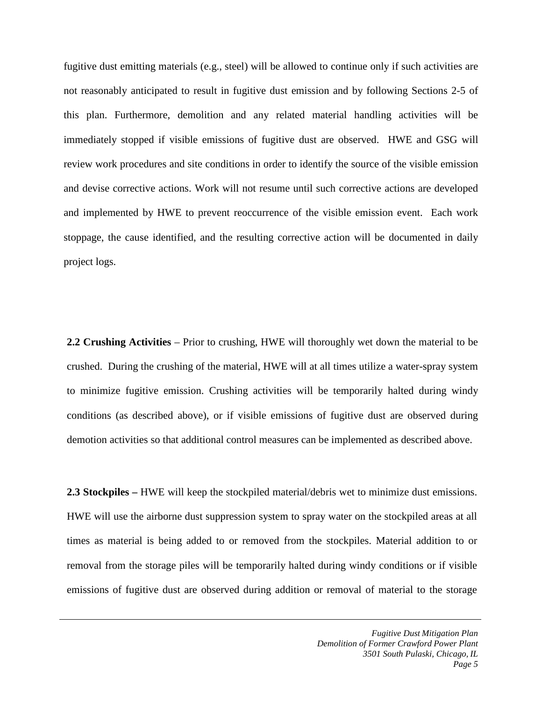fugitive dust emitting materials (e.g., steel) will be allowed to continue only if such activities are not reasonably anticipated to result in fugitive dust emission and by following Sections 2-5 of this plan. Furthermore, demolition and any related material handling activities will be immediately stopped if visible emissions of fugitive dust are observed. HWE and GSG will review work procedures and site conditions in order to identify the source of the visible emission and devise corrective actions. Work will not resume until such corrective actions are developed and implemented by HWE to prevent reoccurrence of the visible emission event. Each work stoppage, the cause identified, and the resulting corrective action will be documented in daily project logs.

**2.2 Crushing Activities** – Prior to crushing, HWE will thoroughly wet down the material to be crushed. During the crushing of the material, HWE will at all times utilize a water-spray system to minimize fugitive emission. Crushing activities will be temporarily halted during windy conditions (as described above), or if visible emissions of fugitive dust are observed during demotion activities so that additional control measures can be implemented as described above.

**2.3 Stockpiles –** HWE will keep the stockpiled material/debris wet to minimize dust emissions. HWE will use the airborne dust suppression system to spray water on the stockpiled areas at all times as material is being added to or removed from the stockpiles. Material addition to or removal from the storage piles will be temporarily halted during windy conditions or if visible emissions of fugitive dust are observed during addition or removal of material to the storage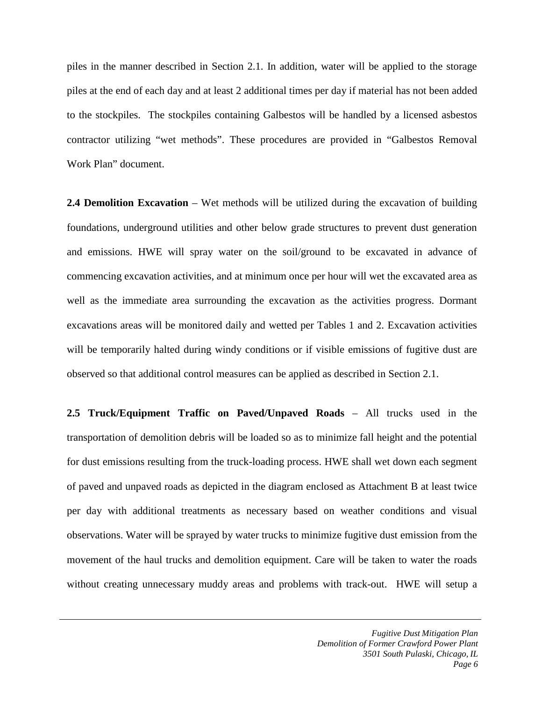piles in the manner described in Section 2.1. In addition, water will be applied to the storage piles at the end of each day and at least 2 additional times per day if material has not been added to the stockpiles. The stockpiles containing Galbestos will be handled by a licensed asbestos contractor utilizing "wet methods". These procedures are provided in "Galbestos Removal Work Plan" document.

**2.4 Demolition Excavation** – Wet methods will be utilized during the excavation of building foundations, underground utilities and other below grade structures to prevent dust generation and emissions. HWE will spray water on the soil/ground to be excavated in advance of commencing excavation activities, and at minimum once per hour will wet the excavated area as well as the immediate area surrounding the excavation as the activities progress. Dormant excavations areas will be monitored daily and wetted per Tables 1 and 2. Excavation activities will be temporarily halted during windy conditions or if visible emissions of fugitive dust are observed so that additional control measures can be applied as described in Section 2.1.

**2.5 Truck/Equipment Traffic on Paved/Unpaved Roads** – All trucks used in the transportation of demolition debris will be loaded so as to minimize fall height and the potential for dust emissions resulting from the truck-loading process. HWE shall wet down each segment of paved and unpaved roads as depicted in the diagram enclosed as Attachment B at least twice per day with additional treatments as necessary based on weather conditions and visual observations. Water will be sprayed by water trucks to minimize fugitive dust emission from the movement of the haul trucks and demolition equipment. Care will be taken to water the roads without creating unnecessary muddy areas and problems with track-out. HWE will setup a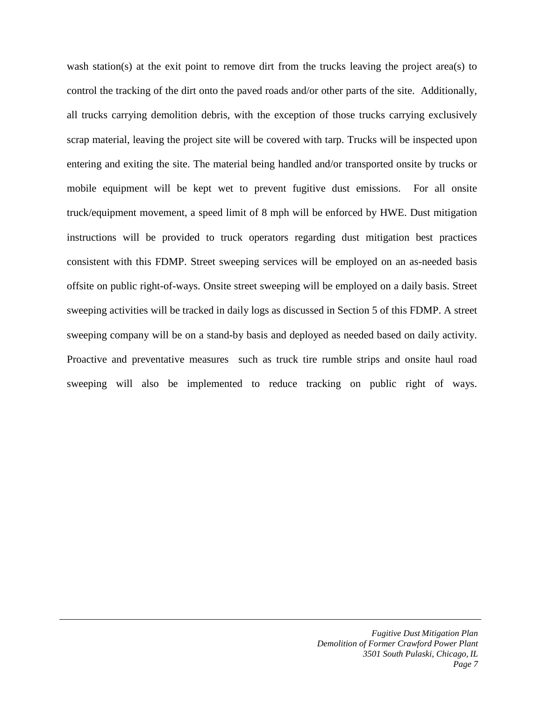wash station(s) at the exit point to remove dirt from the trucks leaving the project area(s) to control the tracking of the dirt onto the paved roads and/or other parts of the site. Additionally, all trucks carrying demolition debris, with the exception of those trucks carrying exclusively scrap material, leaving the project site will be covered with tarp. Trucks will be inspected upon entering and exiting the site. The material being handled and/or transported onsite by trucks or mobile equipment will be kept wet to prevent fugitive dust emissions. For all onsite truck/equipment movement, a speed limit of 8 mph will be enforced by HWE. Dust mitigation instructions will be provided to truck operators regarding dust mitigation best practices consistent with this FDMP. Street sweeping services will be employed on an as-needed basis offsite on public right-of-ways. Onsite street sweeping will be employed on a daily basis. Street sweeping activities will be tracked in daily logs as discussed in Section 5 of this FDMP. A street sweeping company will be on a stand-by basis and deployed as needed based on daily activity. Proactive and preventative measures such as truck tire rumble strips and onsite haul road sweeping will also be implemented to reduce tracking on public right of ways.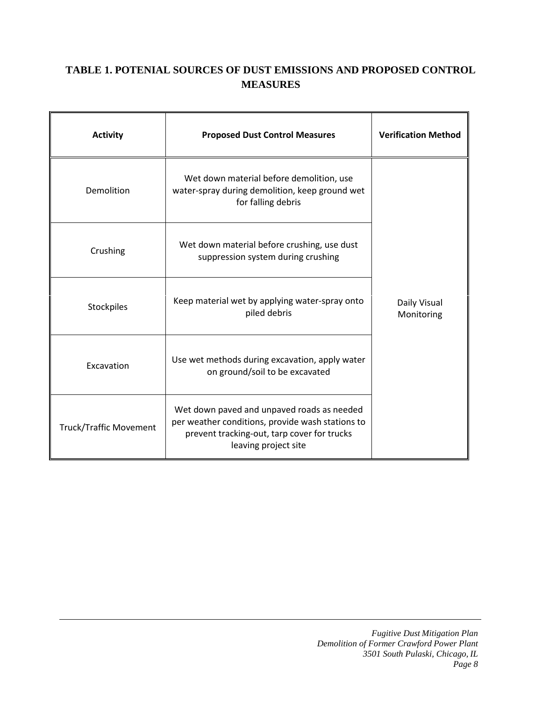## **TABLE 1. POTENIAL SOURCES OF DUST EMISSIONS AND PROPOSED CONTROL MEASURES**

| <b>Activity</b>               | <b>Proposed Dust Control Measures</b>                                                                                                                                 | <b>Verification Method</b> |
|-------------------------------|-----------------------------------------------------------------------------------------------------------------------------------------------------------------------|----------------------------|
| Demolition                    | Wet down material before demolition, use<br>water-spray during demolition, keep ground wet<br>for falling debris                                                      |                            |
| Crushing                      | Wet down material before crushing, use dust<br>suppression system during crushing                                                                                     |                            |
| Stockpiles                    | Keep material wet by applying water-spray onto<br>piled debris                                                                                                        | Daily Visual<br>Monitoring |
| Excavation                    | Use wet methods during excavation, apply water<br>on ground/soil to be excavated                                                                                      |                            |
| <b>Truck/Traffic Movement</b> | Wet down paved and unpaved roads as needed<br>per weather conditions, provide wash stations to<br>prevent tracking-out, tarp cover for trucks<br>leaving project site |                            |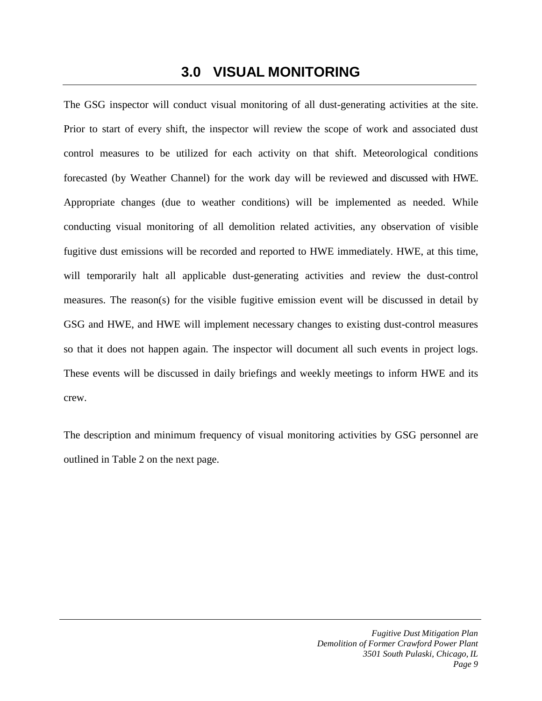# **3.0 VISUAL MONITORING**

The GSG inspector will conduct visual monitoring of all dust-generating activities at the site. Prior to start of every shift, the inspector will review the scope of work and associated dust control measures to be utilized for each activity on that shift. Meteorological conditions forecasted (by Weather Channel) for the work day will be reviewed and discussed with HWE. Appropriate changes (due to weather conditions) will be implemented as needed. While conducting visual monitoring of all demolition related activities, any observation of visible fugitive dust emissions will be recorded and reported to HWE immediately. HWE, at this time, will temporarily halt all applicable dust-generating activities and review the dust-control measures. The reason(s) for the visible fugitive emission event will be discussed in detail by GSG and HWE, and HWE will implement necessary changes to existing dust-control measures so that it does not happen again. The inspector will document all such events in project logs. These events will be discussed in daily briefings and weekly meetings to inform HWE and its crew.

The description and minimum frequency of visual monitoring activities by GSG personnel are outlined in Table 2 on the next page.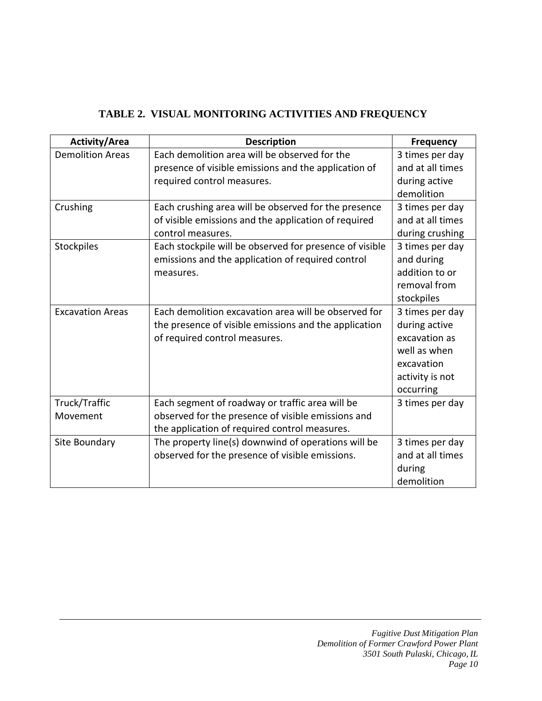| TABLE 2. VISUAL MONITORING ACTIVITIES AND FREQUENCY |  |
|-----------------------------------------------------|--|
|                                                     |  |

| <b>Activity/Area</b>    | <b>Description</b>                                      | <b>Frequency</b>                    |
|-------------------------|---------------------------------------------------------|-------------------------------------|
| <b>Demolition Areas</b> | Each demolition area will be observed for the           | 3 times per day<br>and at all times |
|                         | presence of visible emissions and the application of    |                                     |
|                         | required control measures.                              | during active                       |
|                         |                                                         | demolition                          |
| Crushing                | Each crushing area will be observed for the presence    | 3 times per day                     |
|                         | of visible emissions and the application of required    | and at all times                    |
|                         | control measures.                                       | during crushing                     |
| <b>Stockpiles</b>       | Each stockpile will be observed for presence of visible | 3 times per day                     |
|                         | emissions and the application of required control       | and during                          |
|                         | measures.                                               | addition to or                      |
|                         |                                                         | removal from                        |
|                         |                                                         | stockpiles                          |
| <b>Excavation Areas</b> | Each demolition excavation area will be observed for    | 3 times per day                     |
|                         | the presence of visible emissions and the application   | during active                       |
|                         | of required control measures.                           | excavation as                       |
|                         |                                                         | well as when                        |
|                         |                                                         | excavation                          |
|                         |                                                         | activity is not                     |
|                         |                                                         | occurring                           |
| Truck/Traffic           | Each segment of roadway or traffic area will be         | 3 times per day                     |
| Movement                | observed for the presence of visible emissions and      |                                     |
|                         | the application of required control measures.           |                                     |
| Site Boundary           | The property line(s) downwind of operations will be     | 3 times per day                     |
|                         | observed for the presence of visible emissions.         | and at all times                    |
|                         |                                                         | during                              |
|                         |                                                         | demolition                          |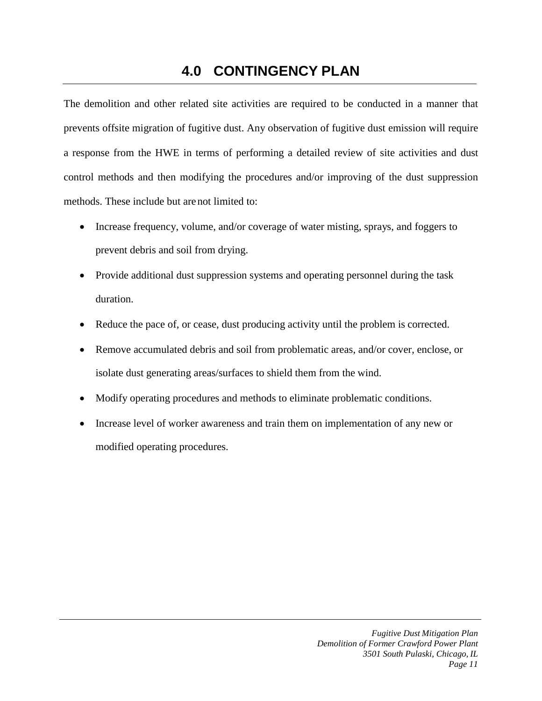# **4.0 CONTINGENCY PLAN**

The demolition and other related site activities are required to be conducted in a manner that prevents offsite migration of fugitive dust. Any observation of fugitive dust emission will require a response from the HWE in terms of performing a detailed review of site activities and dust control methods and then modifying the procedures and/or improving of the dust suppression methods. These include but are not limited to:

- Increase frequency, volume, and/or coverage of water misting, sprays, and foggers to prevent debris and soil from drying.
- Provide additional dust suppression systems and operating personnel during the task duration.
- Reduce the pace of, or cease, dust producing activity until the problem is corrected.
- Remove accumulated debris and soil from problematic areas, and/or cover, enclose, or isolate dust generating areas/surfaces to shield them from the wind.
- Modify operating procedures and methods to eliminate problematic conditions.
- Increase level of worker awareness and train them on implementation of any new or modified operating procedures.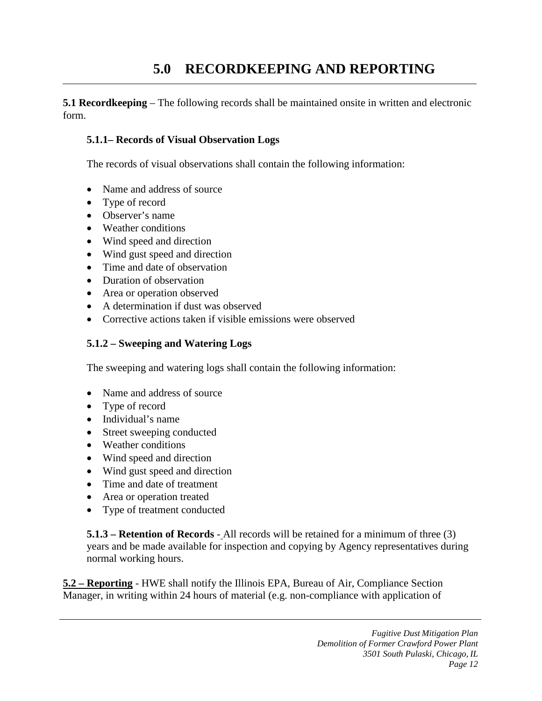# **5.0 RECORDKEEPING AND REPORTING**

**5.1 Recordkeeping** – The following records shall be maintained onsite in written and electronic form.

#### **5.1.1– Records of Visual Observation Logs**

The records of visual observations shall contain the following information:

- Name and address of source
- Type of record
- Observer's name
- Weather conditions
- Wind speed and direction
- Wind gust speed and direction
- Time and date of observation
- Duration of observation
- Area or operation observed
- A determination if dust was observed
- Corrective actions taken if visible emissions were observed

## **5.1.2 – Sweeping and Watering Logs**

The sweeping and watering logs shall contain the following information:

- Name and address of source
- Type of record
- Individual's name
- Street sweeping conducted
- Weather conditions
- Wind speed and direction
- Wind gust speed and direction
- Time and date of treatment
- Area or operation treated
- Type of treatment conducted

**5.1.3 – Retention of Records** - All records will be retained for a minimum of three (3) years and be made available for inspection and copying by Agency representatives during normal working hours.

**5.2 – Reporting** - HWE shall notify the Illinois EPA, Bureau of Air, Compliance Section Manager, in writing within 24 hours of material (e.g. non-compliance with application of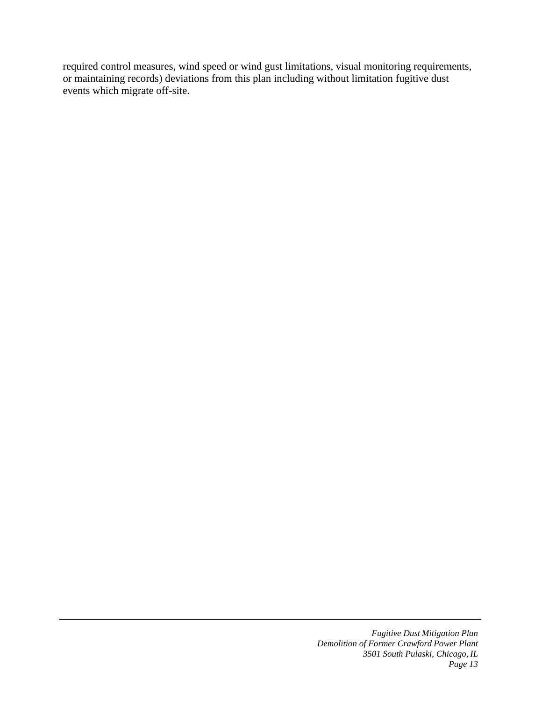required control measures, wind speed or wind gust limitations, visual monitoring requirements, or maintaining records) deviations from this plan including without limitation fugitive dust events which migrate off-site.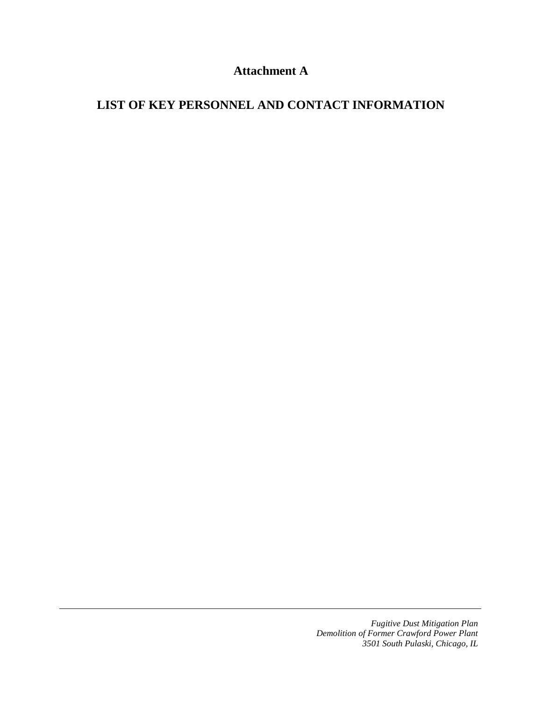## **Attachment A**

## **LIST OF KEY PERSONNEL AND CONTACT INFORMATION**

*Fugitive Dust Mitigation Plan Demolition of Former Crawford Power Plant 3501 South Pulaski, Chicago, IL*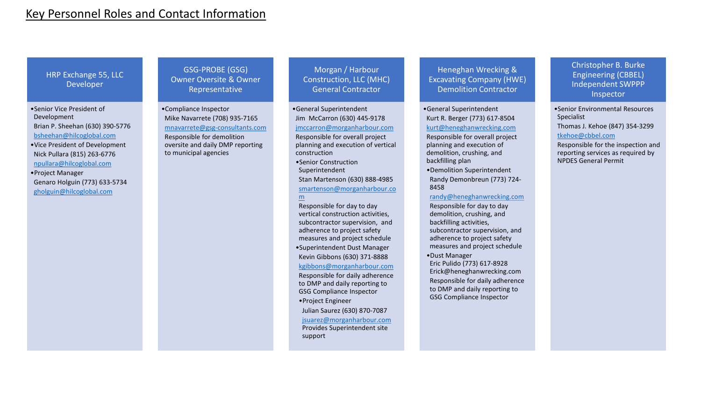## Key Personnel Roles and Contact Information

HRP Exchange 55, LLC Developer

•Senior Vice President of Development Brian P. Sheehan (630) 390-5776 [bsheehan@hilcoglobal.com](mailto:bsheehan@hilcoglobal.com)

- •Vice President of Development Nick Pullara (815) 263-6776 [npullara@hilcoglobal.com](mailto:npullara@hilcoglobal.com)
- •Project Manager Genaro Holguin (773) 633-5734 [gholguin@hilcoglobal.com](mailto:gholguin@hilcoglobal.com)

GSG-PROBE (GSG) Owner Oversite & Owner Representative

•Compliance Inspector Mike Navarrete (708) 935-7165 [mnavarrete@gsg-consultants.com](mailto:mnavarrete@gsg-consultants.com) Responsible for demolition oversite and daily DMP reporting to municipal agencies

Morgan / Harbour Construction, LLC (MHC) General Contractor

•General Superintendent Jim McCarron (630) 445-9178 [jmccarron@morganharbour.com](mailto:jmccarron@morganharbour.com) Responsible for overall project planning and execution of vertical construction •Senior Construction

Superintendent Stan Martenson (630) 888-4985

#### [smartenson@morganharbour.co](mailto:smartenson@morganharbour.com) m

Responsible for day to day vertical construction activities, subcontractor supervision, and adherence to project safety measures and project schedule

•Superintendent Dust Manager Kevin Gibbons (630) 371-8888 [kgibbons@morganharbour.com](mailto:kgibbons@morganharbour.com)

Responsible for daily adherence to DMP and daily reporting to GSG Compliance Inspector

•Project Engineer

Julian Saurez (630) 870-7087 [jsuarez@morganharbour.com](mailto:jsuarez@morganharbour.com) Provides Superintendent site support

Heneghan Wrecking & Excavating Company (HWE) Demolition Contractor

•General Superintendent Kurt R. Berger (773) 617-8504 [kurt@heneghanwrecking.com](mailto:kurt@heneghanwrecking.com)

Responsible for overall project planning and execution of demolition, crushing, and backfilling plan

•Demolition Superintendent Randy Demonbreun (773) 724- 8458

#### [randy@heneghanwrecking.com](mailto:randy@heneghanwrecking.com)

Responsible for day to day demolition, crushing, and backfilling activities, subcontractor supervision, and adherence to project safety measures and project schedule

•Dust Manager Eric Pulido (773) 617-8928 Erick@heneghanwrecking.com Responsible for daily adherence to DMP and daily reporting to GSG Compliance Inspector

Christopher B. Burke Engineering (CBBEL) Independent SWPPP Inspector

•Senior Environmental Resources Specialist

Thomas J. Kehoe (847) 354-3299 [tkehoe@cbbel.com](mailto:tkehoe@cbbel.com)

Responsible for the inspection and reporting services as required by NPDES General Permit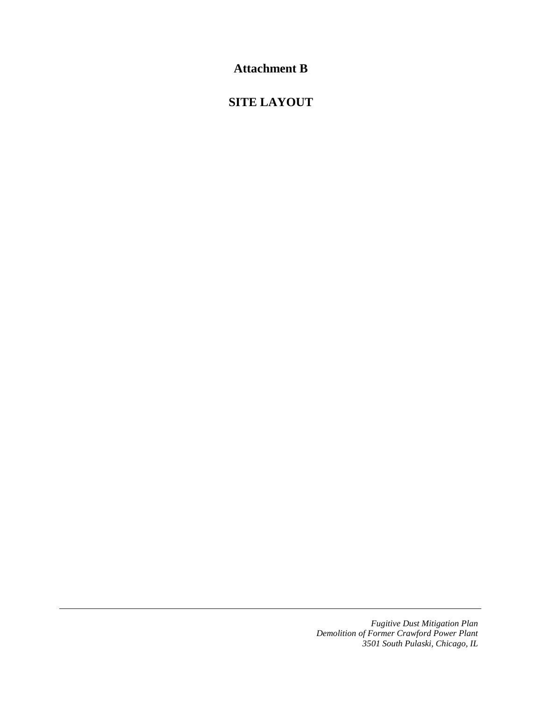**Attachment B** 

## **SITE LAYOUT**

*Fugitive Dust Mitigation Plan Demolition of Former Crawford Power Plant 3501 South Pulaski, Chicago, IL*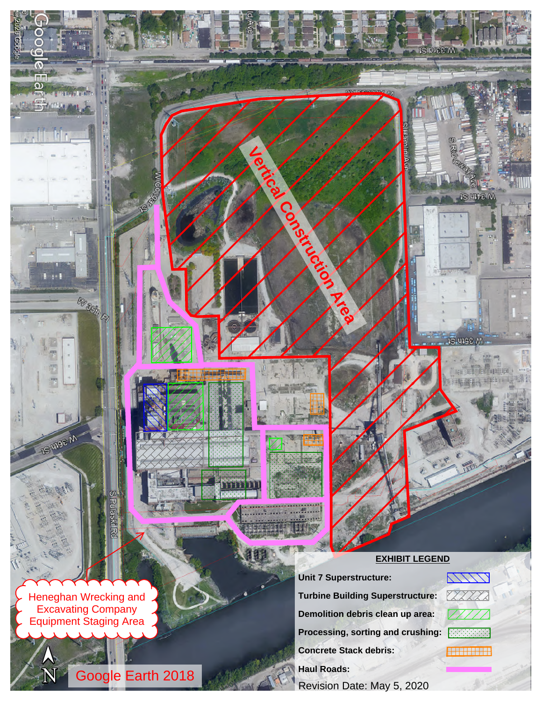#### **EXHIBIT LEGEND**

**Unit 7 Superstructure: Turbine Building Superstructure:Demolition debris clean up area: Processing, sorting and crushing: Recording Concrete Stack debris:Haul Roads:**

**Vertical Construction Area** 

Revision Date: May 5, 2020

Heneghan Wrecking and Excavating CompanyEquipment Staging Area

**Maskl** 

**Rivador** 

一

**IS these M** 

Google Earth 2018

 $\mathbf N$ 

 $\bigwedge$ 

©2020

 $\odot$ 2020

Google

Google

 $\sigma$ mi  $\overline{\omega}$ Œŝ

**CELL** 

s all del r

11111 **XXXX** 

**ANGELERING** 





 $\mathcal{L}(\mathbf{0})$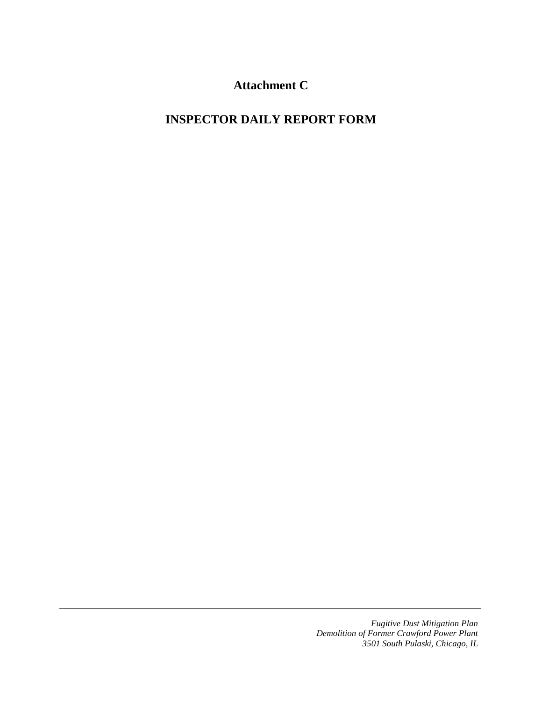**Attachment C** 

# **INSPECTOR DAILY REPORT FORM**

*Fugitive Dust Mitigation Plan Demolition of Former Crawford Power Plant 3501 South Pulaski, Chicago, IL*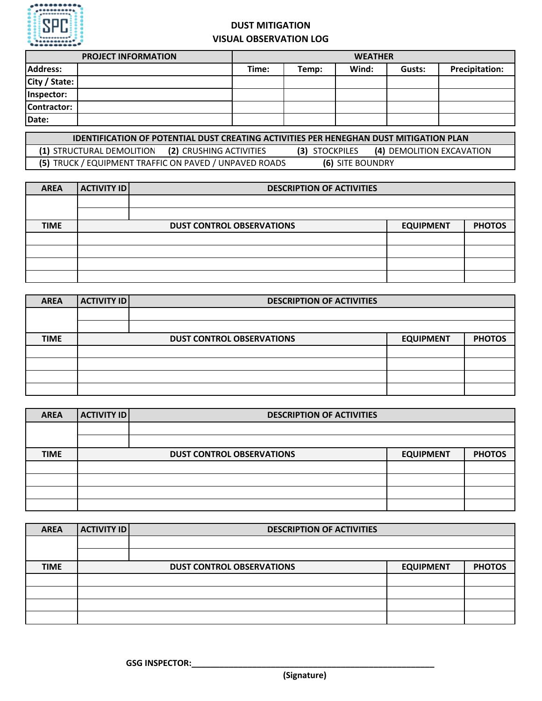

## **DUST MITIGATION VISUAL OBSERVATION LOG**

| <b>PROJECT INFORMATION</b> | <b>WEATHER</b> |       |       |        |                       |
|----------------------------|----------------|-------|-------|--------|-----------------------|
| Address:                   | Time:          | Temp: | Wind: | Gusts: | <b>Precipitation:</b> |
| City / State:              |                |       |       |        |                       |
| Inspector:                 |                |       |       |        |                       |
| Contractor:                |                |       |       |        |                       |
| Date:                      |                |       |       |        |                       |

| <b>IDENTIFICATION OF POTENTIAL DUST CREATING ACTIVITIES PER HENEGHAN DUST MITIGATION PLAN</b> |                  |                           |
|-----------------------------------------------------------------------------------------------|------------------|---------------------------|
| (1) STRUCTURAL DEMOLITION<br>(2) CRUSHING ACTIVITIES                                          | (3) STOCKPILES   | (4) DEMOLITION EXCAVATION |
| (5) TRUCK / EQUIPMENT TRAFFIC ON PAVED / UNPAVED ROADS                                        | (6) SITE BOUNDRY |                           |

| <b>AREA</b> | <b>ACTIVITY ID</b> | <b>DESCRIPTION OF ACTIVITIES</b> |                  |               |
|-------------|--------------------|----------------------------------|------------------|---------------|
|             |                    |                                  |                  |               |
|             |                    |                                  |                  |               |
| <b>TIME</b> |                    | <b>DUST CONTROL OBSERVATIONS</b> | <b>EQUIPMENT</b> | <b>PHOTOS</b> |
|             |                    |                                  |                  |               |
|             |                    |                                  |                  |               |
|             |                    |                                  |                  |               |
|             |                    |                                  |                  |               |

| <b>AREA</b> | <b>ACTIVITY ID</b> | <b>DESCRIPTION OF ACTIVITIES</b> |                  |               |  |  |
|-------------|--------------------|----------------------------------|------------------|---------------|--|--|
|             |                    |                                  |                  |               |  |  |
|             |                    |                                  |                  |               |  |  |
| <b>TIME</b> |                    | <b>DUST CONTROL OBSERVATIONS</b> | <b>EQUIPMENT</b> | <b>PHOTOS</b> |  |  |
|             |                    |                                  |                  |               |  |  |
|             |                    |                                  |                  |               |  |  |
|             |                    |                                  |                  |               |  |  |
|             |                    |                                  |                  |               |  |  |

| <b>AREA</b> | <b>ACTIVITY ID</b> | <b>DESCRIPTION OF ACTIVITIES</b> |                  |               |  |
|-------------|--------------------|----------------------------------|------------------|---------------|--|
|             |                    |                                  |                  |               |  |
|             |                    |                                  |                  |               |  |
| <b>TIME</b> |                    | <b>DUST CONTROL OBSERVATIONS</b> | <b>EQUIPMENT</b> | <b>PHOTOS</b> |  |
|             |                    |                                  |                  |               |  |
|             |                    |                                  |                  |               |  |
|             |                    |                                  |                  |               |  |
|             |                    |                                  |                  |               |  |

| <b>AREA</b> | <b>ACTIVITY ID</b> | <b>DESCRIPTION OF ACTIVITIES</b> |                  |               |
|-------------|--------------------|----------------------------------|------------------|---------------|
|             |                    |                                  |                  |               |
|             |                    |                                  |                  |               |
| <b>TIME</b> |                    | <b>DUST CONTROL OBSERVATIONS</b> | <b>EQUIPMENT</b> | <b>PHOTOS</b> |
|             |                    |                                  |                  |               |
|             |                    |                                  |                  |               |
|             |                    |                                  |                  |               |
|             |                    |                                  |                  |               |

GSG INSPECTOR: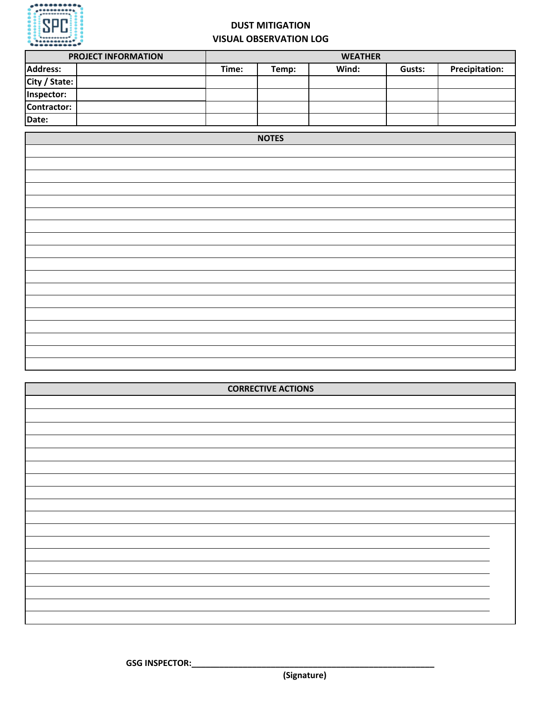

## **DUST MITIGATION VISUAL OBSERVATION LOG**

| <b>PROJECT INFORMATION</b> |       | <b>WEATHER</b> |       |        |                       |  |
|----------------------------|-------|----------------|-------|--------|-----------------------|--|
| <b>Address:</b>            | Time: | Temp:          | Wind: | Gusts: | <b>Precipitation:</b> |  |
| City / State:              |       |                |       |        |                       |  |
| Inspector:                 |       |                |       |        |                       |  |
| Contractor:                |       |                |       |        |                       |  |
| Date:                      |       |                |       |        |                       |  |



| <b>CORRECTIVE ACTIONS</b> |  |  |  |  |  |  |
|---------------------------|--|--|--|--|--|--|
|                           |  |  |  |  |  |  |
|                           |  |  |  |  |  |  |
|                           |  |  |  |  |  |  |
|                           |  |  |  |  |  |  |
|                           |  |  |  |  |  |  |
|                           |  |  |  |  |  |  |
|                           |  |  |  |  |  |  |
|                           |  |  |  |  |  |  |
|                           |  |  |  |  |  |  |
|                           |  |  |  |  |  |  |
|                           |  |  |  |  |  |  |
|                           |  |  |  |  |  |  |
|                           |  |  |  |  |  |  |
|                           |  |  |  |  |  |  |
|                           |  |  |  |  |  |  |
|                           |  |  |  |  |  |  |
|                           |  |  |  |  |  |  |
|                           |  |  |  |  |  |  |

GSG INSPECTOR:

**(Signature)**